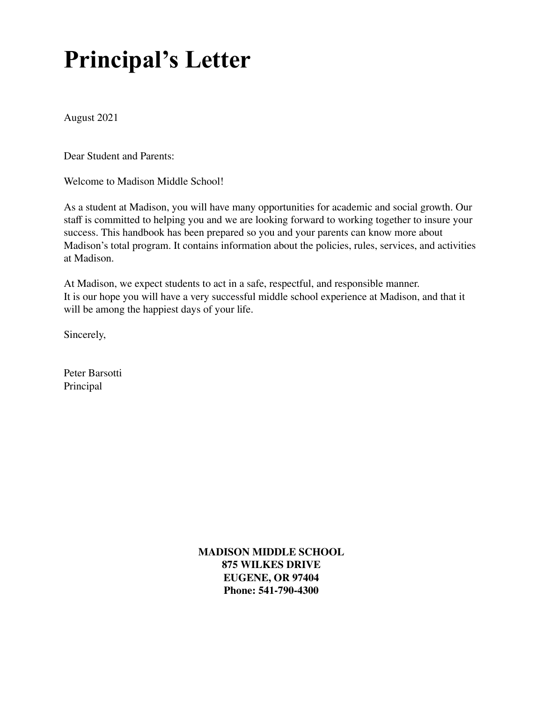# **Principal's Letter**

August 2021

Dear Student and Parents:

Welcome to Madison Middle School!

As a student at Madison, you will have many opportunities for academic and social growth. Our staff is committed to helping you and we are looking forward to working together to insure your success. This handbook has been prepared so you and your parents can know more about Madison's total program. It contains information about the policies, rules, services, and activities at Madison.

At Madison, we expect students to act in a safe, respectful, and responsible manner. It is our hope you will have a very successful middle school experience at Madison, and that it will be among the happiest days of your life.

Sincerely,

Peter Barsotti Principal

> **MADISON MIDDLE SCHOOL 875 WILKES DRIVE EUGENE, OR 97404 Phone: 541-790-4300**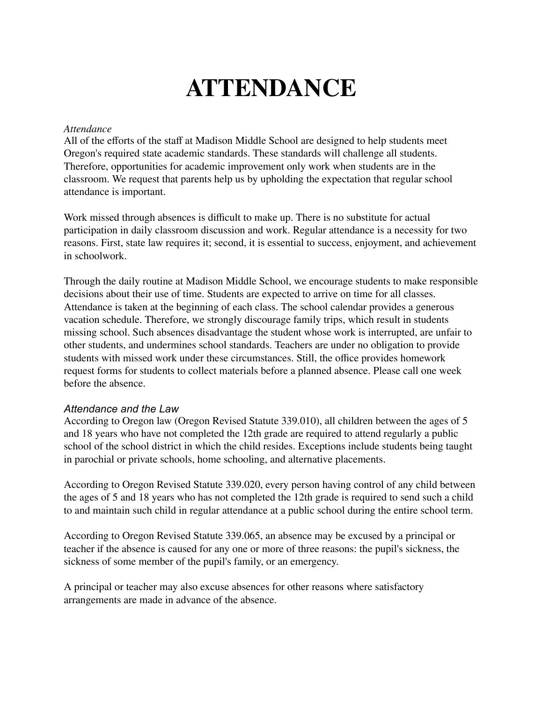## **ATTENDANCE**

#### *Attendance*

All of the efforts of the staff at Madison Middle School are designed to help students meet Oregon's required state academic standards. These standards will challenge all students. Therefore, opportunities for academic improvement only work when students are in the classroom. We request that parents help us by upholding the expectation that regular school attendance is important.

Work missed through absences is difficult to make up. There is no substitute for actual participation in daily classroom discussion and work. Regular attendance is a necessity for two reasons. First, state law requires it; second, it is essential to success, enjoyment, and achievement in schoolwork.

Through the daily routine at Madison Middle School, we encourage students to make responsible decisions about their use of time. Students are expected to arrive on time for all classes. Attendance is taken at the beginning of each class. The school calendar provides a generous vacation schedule. Therefore, we strongly discourage family trips, which result in students missing school. Such absences disadvantage the student whose work is interrupted, are unfair to other students, and undermines school standards. Teachers are under no obligation to provide students with missed work under these circumstances. Still, the office provides homework request forms for students to collect materials before a planned absence. Please call one week before the absence.

#### *Attendance and the Law*

According to Oregon law (Oregon Revised Statute 339.010), all children between the ages of 5 and 18 years who have not completed the 12th grade are required to attend regularly a public school of the school district in which the child resides. Exceptions include students being taught in parochial or private schools, home schooling, and alternative placements.

According to Oregon Revised Statute 339.020, every person having control of any child between the ages of 5 and 18 years who has not completed the 12th grade is required to send such a child to and maintain such child in regular attendance at a public school during the entire school term.

According to Oregon Revised Statute 339.065, an absence may be excused by a principal or teacher if the absence is caused for any one or more of three reasons: the pupil's sickness, the sickness of some member of the pupil's family, or an emergency.

A principal or teacher may also excuse absences for other reasons where satisfactory arrangements are made in advance of the absence.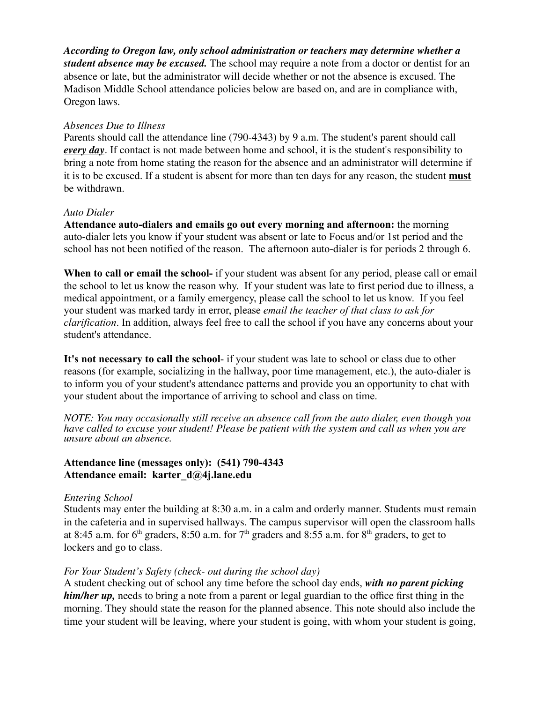*According to Oregon law, only school administration or teachers may determine whether a student absence may be excused.* The school may require a note from a doctor or dentist for an absence or late, but the administrator will decide whether or not the absence is excused. The Madison Middle School attendance policies below are based on, and are in compliance with, Oregon laws.

#### *Absences Due to Illness*

Parents should call the attendance line (790-4343) by 9 a.m. The student's parent should call *every day*. If contact is not made between home and school, it is the student's responsibility to bring a note from home stating the reason for the absence and an administrator will determine if it is to be excused. If a student is absent for more than ten days for any reason, the student **must** be withdrawn.

#### *Auto Dialer*

**Attendance auto-dialers and emails go out every morning and afternoon:** the morning auto-dialer lets you know if your student was absent or late to Focus and/or 1st period and the school has not been notified of the reason. The afternoon auto-dialer is for periods 2 through 6.

**When to call or email the school-** if your student was absent for any period, please call or email the school to let us know the reason why. If your student was late to first period due to illness, a medical appointment, or a family emergency, please call the school to let us know. If you feel your student was marked tardy in error, please *email the teacher of that class to ask for clarification*. In addition, always feel free to call the school if you have any concerns about your student's attendance.

**It's not necessary to call the school**- if your student was late to school or class due to other reasons (for example, socializing in the hallway, poor time management, etc.), the auto-dialer is to inform you of your student's attendance patterns and provide you an opportunity to chat with your student about the importance of arriving to school and class on time.

*NOTE: You may occasionally still receive an absence call from the auto dialer, even though you have called to excuse your student! Please be patient with the system and call us when you are unsure about an absence.*

#### **Attendance line (messages only): (541) 790-4343 Attendance email: karter\_d@4j.lane.edu**

#### *Entering School*

Students may enter the building at 8:30 a.m. in a calm and orderly manner. Students must remain in the cafeteria and in supervised hallways. The campus supervisor will open the classroom halls at 8:45 a.m. for 6<sup>th</sup> graders, 8:50 a.m. for  $7<sup>th</sup>$  graders and 8:55 a.m. for 8<sup>th</sup> graders, to get to lockers and go to class.

## *For Your Student's Safety (check- out during the school day)*

A student checking out of school any time before the school day ends, *with no parent picking him/her up*, needs to bring a note from a parent or legal guardian to the office first thing in the morning. They should state the reason for the planned absence. This note should also include the time your student will be leaving, where your student is going, with whom your student is going,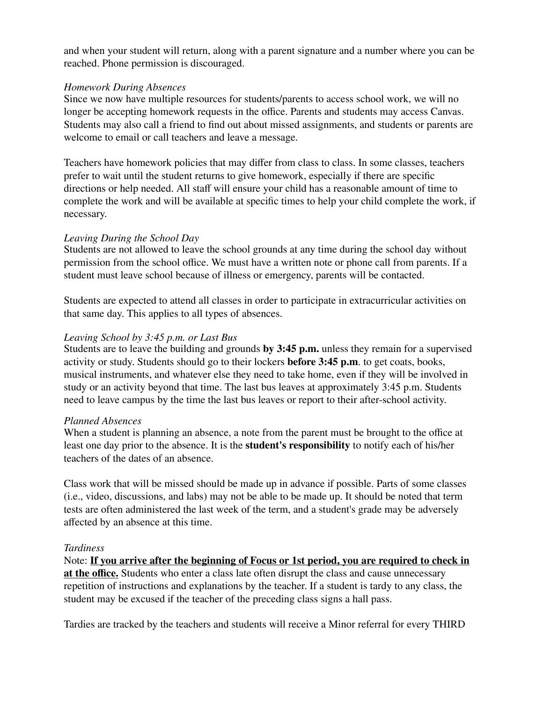and when your student will return, along with a parent signature and a number where you can be reached. Phone permission is discouraged.

#### *Homework During Absences*

Since we now have multiple resources for students/parents to access school work, we will no longer be accepting homework requests in the office. Parents and students may access Canvas. Students may also call a friend to find out about missed assignments, and students or parents are welcome to email or call teachers and leave a message.

Teachers have homework policies that may differ from class to class. In some classes, teachers prefer to wait until the student returns to give homework, especially if there are specific directions or help needed. All staff will ensure your child has a reasonable amount of time to complete the work and will be available at specific times to help your child complete the work, if necessary.

#### *Leaving During the School Day*

Students are not allowed to leave the school grounds at any time during the school day without permission from the school office. We must have a written note or phone call from parents. If a student must leave school because of illness or emergency, parents will be contacted.

Students are expected to attend all classes in order to participate in extracurricular activities on that same day. This applies to all types of absences.

## *Leaving School by 3:45 p.m. or Last Bus*

Students are to leave the building and grounds **by 3:45 p.m.** unless they remain for a supervised activity or study. Students should go to their lockers **before 3:45 p.m**. to get coats, books, musical instruments, and whatever else they need to take home, even if they will be involved in study or an activity beyond that time. The last bus leaves at approximately 3:45 p.m. Students need to leave campus by the time the last bus leaves or report to their after-school activity.

## *Planned Absences*

When a student is planning an absence, a note from the parent must be brought to the office at least one day prior to the absence. It is the **student's responsibility** to notify each of his/her teachers of the dates of an absence.

Class work that will be missed should be made up in advance if possible. Parts of some classes (i.e., video, discussions, and labs) may not be able to be made up. It should be noted that term tests are often administered the last week of the term, and a student's grade may be adversely affected by an absence at this time.

#### *Tardiness*

Note: **If you arrive after the beginning of Focus or 1st period, you are required to check in at the office.** Students who enter a class late often disrupt the class and cause unnecessary repetition of instructions and explanations by the teacher. If a student is tardy to any class, the student may be excused if the teacher of the preceding class signs a hall pass.

Tardies are tracked by the teachers and students will receive a Minor referral for every THIRD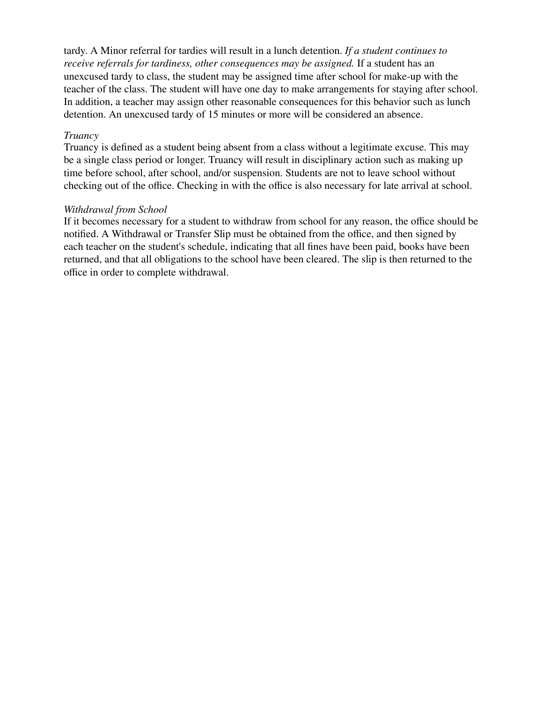tardy. A Minor referral for tardies will result in a lunch detention. *If a student continues to receive referrals for tardiness, other consequences may be assigned.* If a student has an unexcused tardy to class, the student may be assigned time after school for make-up with the teacher of the class. The student will have one day to make arrangements for staying after school. In addition, a teacher may assign other reasonable consequences for this behavior such as lunch detention. An unexcused tardy of 15 minutes or more will be considered an absence.

#### *Truancy*

Truancy is defined as a student being absent from a class without a legitimate excuse. This may be a single class period or longer. Truancy will result in disciplinary action such as making up time before school, after school, and/or suspension. Students are not to leave school without checking out of the office. Checking in with the office is also necessary for late arrival at school.

#### *Withdrawal from School*

If it becomes necessary for a student to withdraw from school for any reason, the office should be notified. A Withdrawal or Transfer Slip must be obtained from the office, and then signed by each teacher on the student's schedule, indicating that all fines have been paid, books have been returned, and that all obligations to the school have been cleared. The slip is then returned to the office in order to complete withdrawal.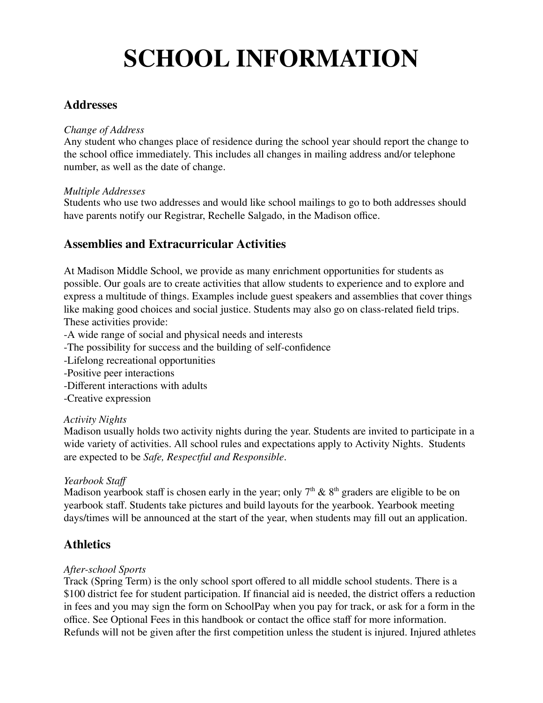# **SCHOOL INFORMATION**

## **Addresses**

#### *Change of Address*

Any student who changes place of residence during the school year should report the change to the school office immediately. This includes all changes in mailing address and/or telephone number, as well as the date of change.

#### *Multiple Addresses*

Students who use two addresses and would like school mailings to go to both addresses should have parents notify our Registrar, Rechelle Salgado, in the Madison office.

## **Assemblies and Extracurricular Activities**

At Madison Middle School, we provide as many enrichment opportunities for students as possible. Our goals are to create activities that allow students to experience and to explore and express a multitude of things. Examples include guest speakers and assemblies that cover things like making good choices and social justice. Students may also go on class-related field trips. These activities provide:

- -A wide range of social and physical needs and interests
- -The possibility for success and the building of self-confidence
- -Lifelong recreational opportunities
- -Positive peer interactions
- -Different interactions with adults
- -Creative expression

#### *Activity Nights*

Madison usually holds two activity nights during the year. Students are invited to participate in a wide variety of activities. All school rules and expectations apply to Activity Nights. Students are expected to be *Safe, Respectful and Responsible*.

## *Yearbook Staff*

Madison yearbook staff is chosen early in the year; only  $7<sup>th</sup>$  &  $8<sup>th</sup>$  graders are eligible to be on yearbook staff. Students take pictures and build layouts for the yearbook. Yearbook meeting days/times will be announced at the start of the year, when students may fill out an application.

## **Athletics**

#### *After-school Sports*

Track (Spring Term) is the only school sport offered to all middle school students. There is a \$100 district fee for student participation. If financial aid is needed, the district offers a reduction in fees and you may sign the form on SchoolPay when you pay for track, or ask for a form in the office. See Optional Fees in this handbook or contact the office staff for more information. Refunds will not be given after the first competition unless the student is injured. Injured athletes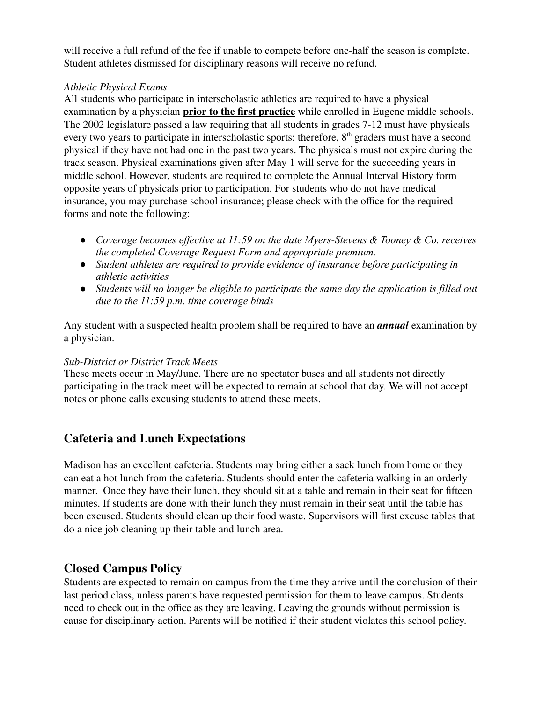will receive a full refund of the fee if unable to compete before one-half the season is complete. Student athletes dismissed for disciplinary reasons will receive no refund.

## *Athletic Physical Exams*

All students who participate in interscholastic athletics are required to have a physical examination by a physician **prior to the first practice** while enrolled in Eugene middle schools. The 2002 legislature passed a law requiring that all students in grades 7-12 must have physicals every two years to participate in interscholastic sports; therefore,  $8<sup>th</sup>$  graders must have a second physical if they have not had one in the past two years. The physicals must not expire during the track season. Physical examinations given after May 1 will serve for the succeeding years in middle school. However, students are required to complete the Annual Interval History form opposite years of physicals prior to participation. For students who do not have medical insurance, you may purchase school insurance; please check with the office for the required forms and note the following:

- *Coverage becomes effective at 11:59 on the date Myers-Stevens & Tooney & Co. receives the completed Coverage Request Form and appropriate premium.*
- *Student athletes are required to provide evidence of insurance before participating in athletic activities*
- *Students will no longer be eligible to participate the same day the application is filled out due to the 11:59 p.m. time coverage binds*

Any student with a suspected health problem shall be required to have an *annual* examination by a physician.

## *Sub-District or District Track Meets*

These meets occur in May/June. There are no spectator buses and all students not directly participating in the track meet will be expected to remain at school that day. We will not accept notes or phone calls excusing students to attend these meets.

## **Cafeteria and Lunch Expectations**

Madison has an excellent cafeteria. Students may bring either a sack lunch from home or they can eat a hot lunch from the cafeteria. Students should enter the cafeteria walking in an orderly manner. Once they have their lunch, they should sit at a table and remain in their seat for fifteen minutes. If students are done with their lunch they must remain in their seat until the table has been excused. Students should clean up their food waste. Supervisors will first excuse tables that do a nice job cleaning up their table and lunch area.

## **Closed Campus Policy**

Students are expected to remain on campus from the time they arrive until the conclusion of their last period class, unless parents have requested permission for them to leave campus. Students need to check out in the office as they are leaving. Leaving the grounds without permission is cause for disciplinary action. Parents will be notified if their student violates this school policy.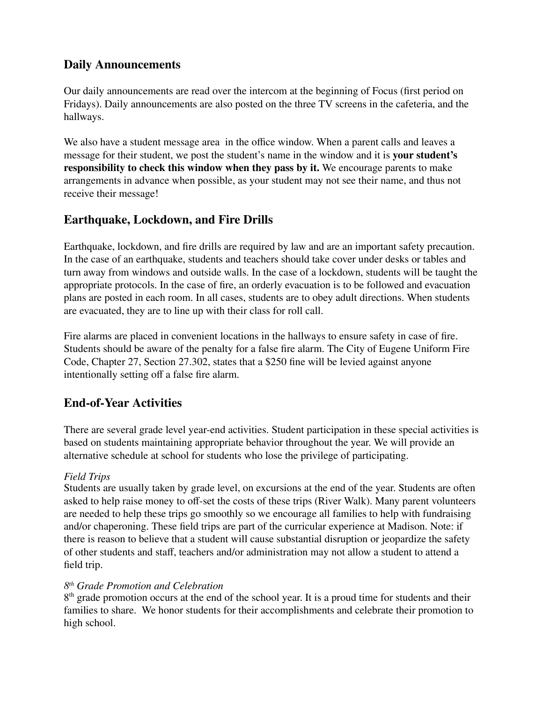## **Daily Announcements**

Our daily announcements are read over the intercom at the beginning of Focus (first period on Fridays). Daily announcements are also posted on the three TV screens in the cafeteria, and the hallways.

We also have a student message area in the office window. When a parent calls and leaves a message for their student, we post the student's name in the window and it is **your student's responsibility to check this window when they pass by it.** We encourage parents to make arrangements in advance when possible, as your student may not see their name, and thus not receive their message!

## **Earthquake, Lockdown, and Fire Drills**

Earthquake, lockdown, and fire drills are required by law and are an important safety precaution. In the case of an earthquake, students and teachers should take cover under desks or tables and turn away from windows and outside walls. In the case of a lockdown, students will be taught the appropriate protocols. In the case of fire, an orderly evacuation is to be followed and evacuation plans are posted in each room. In all cases, students are to obey adult directions. When students are evacuated, they are to line up with their class for roll call.

Fire alarms are placed in convenient locations in the hallways to ensure safety in case of fire. Students should be aware of the penalty for a false fire alarm. The City of Eugene Uniform Fire Code, Chapter 27, Section 27.302, states that a \$250 fine will be levied against anyone intentionally setting off a false fire alarm.

## **End-of-Year Activities**

There are several grade level year-end activities. Student participation in these special activities is based on students maintaining appropriate behavior throughout the year. We will provide an alternative schedule at school for students who lose the privilege of participating.

## *Field Trips*

Students are usually taken by grade level, on excursions at the end of the year. Students are often asked to help raise money to off-set the costs of these trips (River Walk). Many parent volunteers are needed to help these trips go smoothly so we encourage all families to help with fundraising and/or chaperoning. These field trips are part of the curricular experience at Madison. Note: if there is reason to believe that a student will cause substantial disruption or jeopardize the safety of other students and staff, teachers and/or administration may not allow a student to attend a field trip.

## *8 th Grade Promotion and Celebration*

8<sup>th</sup> grade promotion occurs at the end of the school year. It is a proud time for students and their families to share. We honor students for their accomplishments and celebrate their promotion to high school.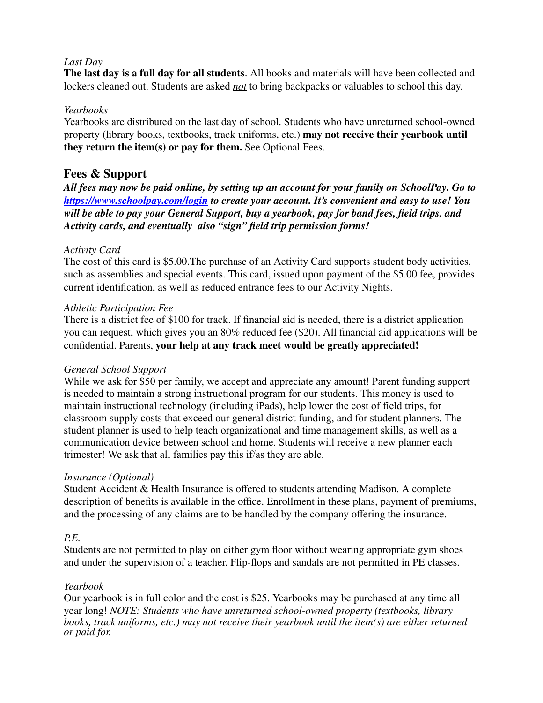#### *Last Day*

**The last day is a full day for all students**. All books and materials will have been collected and lockers cleaned out. Students are asked *not* to bring backpacks or valuables to school this day.

#### *Yearbooks*

Yearbooks are distributed on the last day of school. Students who have unreturned school-owned property (library books, textbooks, track uniforms, etc.) **may not receive their yearbook until they return the item(s) or pay for them.** See Optional Fees.

## **Fees & Support**

*All fees may now be paid online, by setting up an account for your family on SchoolPay. Go to <https://www.schoolpay.com/login> to create your account. It's convenient and easy to use! You will be able to pay your General Support, buy a yearbook, pay for band fees, field trips, and Activity cards, and eventually also "sign" field trip permission forms!*

## *Activity Card*

The cost of this card is \$5.00.The purchase of an Activity Card supports student body activities, such as assemblies and special events. This card, issued upon payment of the \$5.00 fee, provides current identification, as well as reduced entrance fees to our Activity Nights.

## *Athletic Participation Fee*

There is a district fee of \$100 for track. If financial aid is needed, there is a district application you can request, which gives you an 80% reduced fee (\$20). All financial aid applications will be confidential. Parents, **your help at any track meet would be greatly appreciated!**

## *General School Support*

While we ask for \$50 per family, we accept and appreciate any amount! Parent funding support is needed to maintain a strong instructional program for our students. This money is used to maintain instructional technology (including iPads), help lower the cost of field trips, for classroom supply costs that exceed our general district funding, and for student planners. The student planner is used to help teach organizational and time management skills, as well as a communication device between school and home. Students will receive a new planner each trimester! We ask that all families pay this if/as they are able.

## *Insurance (Optional)*

Student Accident & Health Insurance is offered to students attending Madison. A complete description of benefits is available in the office. Enrollment in these plans, payment of premiums, and the processing of any claims are to be handled by the company offering the insurance.

## *P.E.*

Students are not permitted to play on either gym floor without wearing appropriate gym shoes and under the supervision of a teacher. Flip-flops and sandals are not permitted in PE classes.

## *Yearbook*

Our yearbook is in full color and the cost is \$25. Yearbooks may be purchased at any time all year long! *NOTE: Students who have unreturned school-owned property (textbooks, library books, track uniforms, etc.) may not receive their yearbook until the item(s) are either returned or paid for.*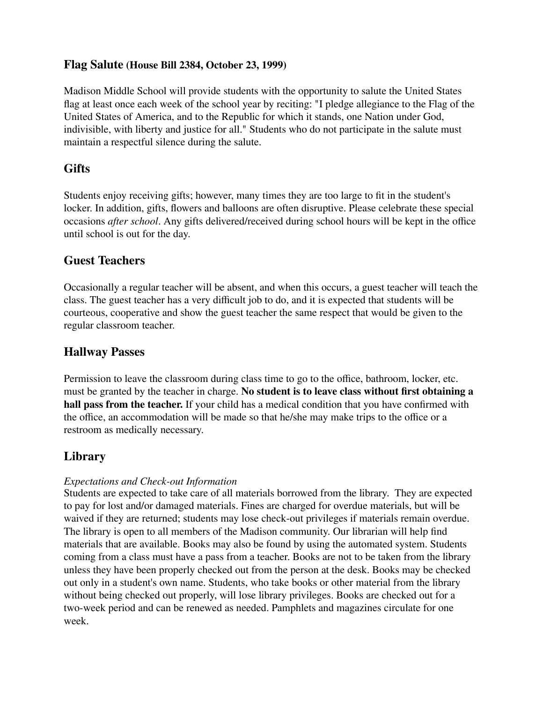## **Flag Salute (House Bill 2384, October 23, 1999)**

Madison Middle School will provide students with the opportunity to salute the United States flag at least once each week of the school year by reciting: "I pledge allegiance to the Flag of the United States of America, and to the Republic for which it stands, one Nation under God, indivisible, with liberty and justice for all." Students who do not participate in the salute must maintain a respectful silence during the salute.

## **Gifts**

Students enjoy receiving gifts; however, many times they are too large to fit in the student's locker. In addition, gifts, flowers and balloons are often disruptive. Please celebrate these special occasions *after school*. Any gifts delivered/received during school hours will be kept in the office until school is out for the day.

## **Guest Teachers**

Occasionally a regular teacher will be absent, and when this occurs, a guest teacher will teach the class. The guest teacher has a very difficult job to do, and it is expected that students will be courteous, cooperative and show the guest teacher the same respect that would be given to the regular classroom teacher.

## **Hallway Passes**

Permission to leave the classroom during class time to go to the office, bathroom, locker, etc. must be granted by the teacher in charge. **No student is to leave class without first obtaining a hall pass from the teacher.** If your child has a medical condition that you have confirmed with the office, an accommodation will be made so that he/she may make trips to the office or a restroom as medically necessary.

## **Library**

## *Expectations and Check-out Information*

Students are expected to take care of all materials borrowed from the library. They are expected to pay for lost and/or damaged materials. Fines are charged for overdue materials, but will be waived if they are returned; students may lose check-out privileges if materials remain overdue. The library is open to all members of the Madison community. Our librarian will help find materials that are available. Books may also be found by using the automated system. Students coming from a class must have a pass from a teacher. Books are not to be taken from the library unless they have been properly checked out from the person at the desk. Books may be checked out only in a student's own name. Students, who take books or other material from the library without being checked out properly, will lose library privileges. Books are checked out for a two-week period and can be renewed as needed. Pamphlets and magazines circulate for one week.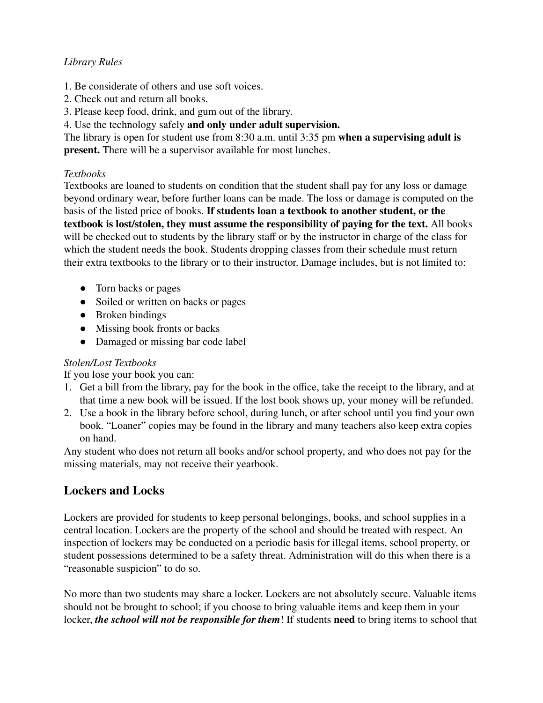## *Library Rules*

- 1. Be considerate of others and use soft voices.
- 2. Check out and return all books.
- 3. Please keep food, drink, and gum out of the library.
- 4. Use the technology safely **and only under adult supervision.**

The library is open for student use from 8:30 a.m. until 3:35 pm **when a supervising adult is present.** There will be a supervisor available for most lunches.

## *Textbooks*

Textbooks are loaned to students on condition that the student shall pay for any loss or damage beyond ordinary wear, before further loans can be made. The loss or damage is computed on the basis of the listed price of books. **If students loan a textbook to another student, or the textbook is lost/stolen, they must assume the responsibility of paying for the text.** All books will be checked out to students by the library staff or by the instructor in charge of the class for which the student needs the book. Students dropping classes from their schedule must return their extra textbooks to the library or to their instructor. Damage includes, but is not limited to:

- Torn backs or pages
- Soiled or written on backs or pages
- Broken bindings
- Missing book fronts or backs
- Damaged or missing bar code label

## *Stolen/Lost Textbooks*

If you lose your book you can:

- 1. Get a bill from the library, pay for the book in the office, take the receipt to the library, and at that time a new book will be issued. If the lost book shows up, your money will be refunded.
- 2. Use a book in the library before school, during lunch, or after school until you find your own book. "Loaner" copies may be found in the library and many teachers also keep extra copies on hand.

Any student who does not return all books and/or school property, and who does not pay for the missing materials, may not receive their yearbook.

## **Lockers and Locks**

Lockers are provided for students to keep personal belongings, books, and school supplies in a central location. Lockers are the property of the school and should be treated with respect. An inspection of lockers may be conducted on a periodic basis for illegal items, school property, or student possessions determined to be a safety threat. Administration will do this when there is a "reasonable suspicion" to do so.

No more than two students may share a locker. Lockers are not absolutely secure. Valuable items should not be brought to school; if you choose to bring valuable items and keep them in your locker, *the school will not be responsible for them*! If students **need** to bring items to school that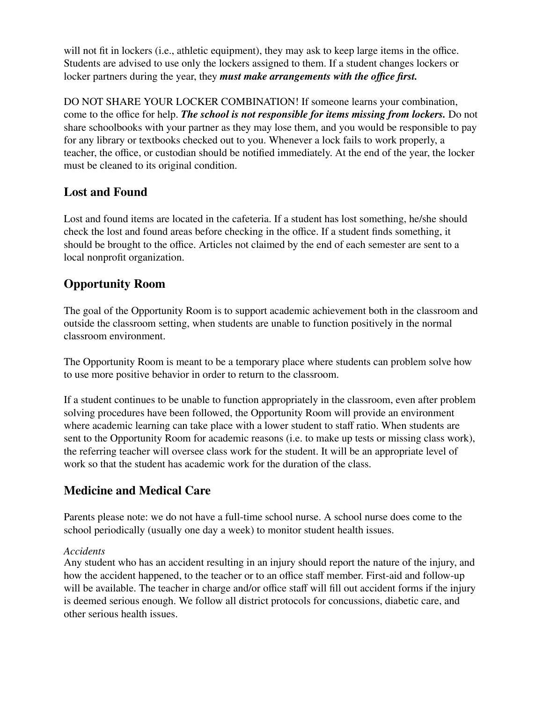will not fit in lockers (i.e., athletic equipment), they may ask to keep large items in the office. Students are advised to use only the lockers assigned to them. If a student changes lockers or locker partners during the year, they *must make arrangements with the office first.*

DO NOT SHARE YOUR LOCKER COMBINATION! If someone learns your combination, come to the office for help. *The school is not responsible for items missing from lockers.* Do not share schoolbooks with your partner as they may lose them, and you would be responsible to pay for any library or textbooks checked out to you. Whenever a lock fails to work properly, a teacher, the office, or custodian should be notified immediately. At the end of the year, the locker must be cleaned to its original condition.

## **Lost and Found**

Lost and found items are located in the cafeteria. If a student has lost something, he/she should check the lost and found areas before checking in the office. If a student finds something, it should be brought to the office. Articles not claimed by the end of each semester are sent to a local nonprofit organization.

## **Opportunity Room**

The goal of the Opportunity Room is to support academic achievement both in the classroom and outside the classroom setting, when students are unable to function positively in the normal classroom environment.

The Opportunity Room is meant to be a temporary place where students can problem solve how to use more positive behavior in order to return to the classroom.

If a student continues to be unable to function appropriately in the classroom, even after problem solving procedures have been followed, the Opportunity Room will provide an environment where academic learning can take place with a lower student to staff ratio. When students are sent to the Opportunity Room for academic reasons (i.e. to make up tests or missing class work), the referring teacher will oversee class work for the student. It will be an appropriate level of work so that the student has academic work for the duration of the class.

## **Medicine and Medical Care**

Parents please note: we do not have a full-time school nurse. A school nurse does come to the school periodically (usually one day a week) to monitor student health issues.

## *Accidents*

Any student who has an accident resulting in an injury should report the nature of the injury, and how the accident happened, to the teacher or to an office staff member. First-aid and follow-up will be available. The teacher in charge and/or office staff will fill out accident forms if the injury is deemed serious enough. We follow all district protocols for concussions, diabetic care, and other serious health issues.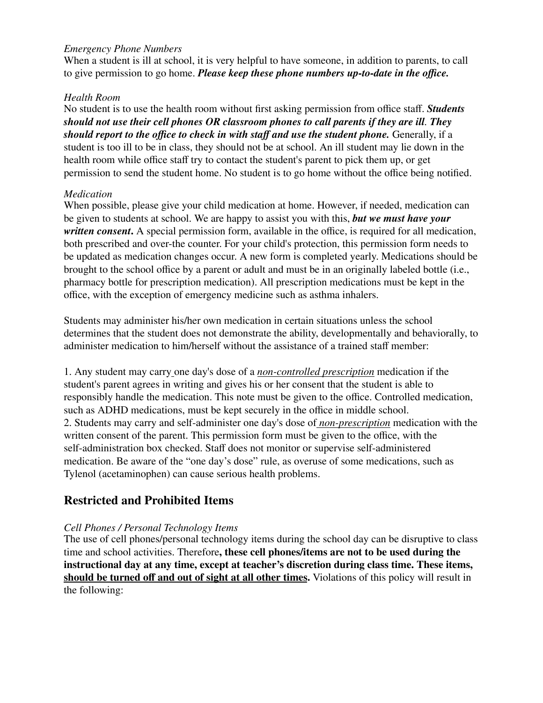#### *Emergency Phone Numbers*

When a student is ill at school, it is very helpful to have someone, in addition to parents, to call to give permission to go home. *Please keep these phone numbers up-to-date in the office.*

## *Health Room*

No student is to use the health room without first asking permission from office staff. *Students should not use their cell phones OR classroom phones to call parents if they are ill. They should report to the office to check in with staff and use the student phone.* Generally, if a student is too ill to be in class, they should not be at school. An ill student may lie down in the health room while office staff try to contact the student's parent to pick them up, or get permission to send the student home. No student is to go home without the office being notified.

#### *Medication*

When possible, please give your child medication at home. However, if needed, medication can be given to students at school. We are happy to assist you with this, *but we must have your written consent***.** A special permission form, available in the office, is required for all medication, both prescribed and over-the counter. For your child's protection, this permission form needs to be updated as medication changes occur. A new form is completed yearly. Medications should be brought to the school office by a parent or adult and must be in an originally labeled bottle (i.e., pharmacy bottle for prescription medication). All prescription medications must be kept in the office, with the exception of emergency medicine such as asthma inhalers.

Students may administer his/her own medication in certain situations unless the school determines that the student does not demonstrate the ability, developmentally and behaviorally, to administer medication to him/herself without the assistance of a trained staff member:

1. Any student may carry one day's dose of a *non-controlled prescription* medication if the student's parent agrees in writing and gives his or her consent that the student is able to responsibly handle the medication. This note must be given to the office. Controlled medication, such as ADHD medications, must be kept securely in the office in middle school. 2. Students may carry and self-administer one day's dose of *non-prescription* medication with the written consent of the parent. This permission form must be given to the office, with the self-administration box checked. Staff does not monitor or supervise self-administered medication. Be aware of the "one day's dose" rule, as overuse of some medications, such as Tylenol (acetaminophen) can cause serious health problems.

## **Restricted and Prohibited Items**

## *Cell Phones / Personal Technology Items*

The use of cell phones/personal technology items during the school day can be disruptive to class time and school activities. Therefore**, these cell phones/items are not to be used during the instructional day at any time, except at teacher's discretion during class time. These items, should be turned off and out of sight at all other times.** Violations of this policy will result in the following: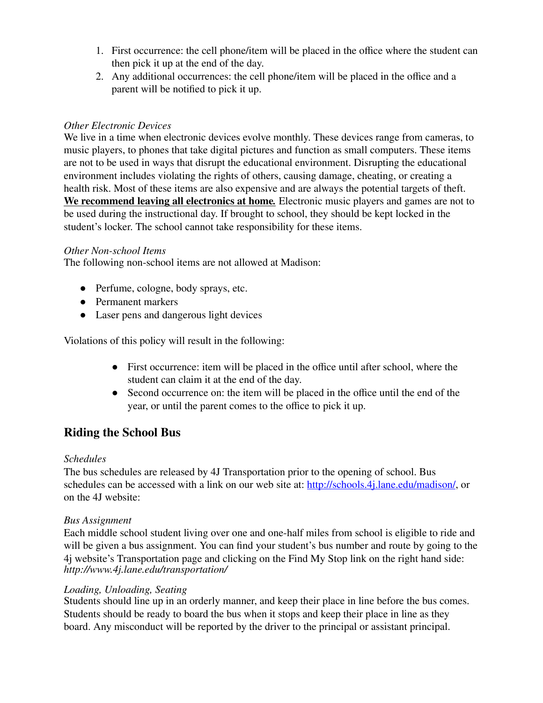- 1. First occurrence: the cell phone/item will be placed in the office where the student can then pick it up at the end of the day.
- 2. Any additional occurrences: the cell phone/item will be placed in the office and a parent will be notified to pick it up.

## *Other Electronic Devices*

We live in a time when electronic devices evolve monthly. These devices range from cameras, to music players, to phones that take digital pictures and function as small computers. These items are not to be used in ways that disrupt the educational environment. Disrupting the educational environment includes violating the rights of others, causing damage, cheating, or creating a health risk. Most of these items are also expensive and are always the potential targets of theft. **We recommend leaving all electronics at home***.* Electronic music players and games are not to be used during the instructional day. If brought to school, they should be kept locked in the student's locker. The school cannot take responsibility for these items.

## *Other Non-school Items*

The following non-school items are not allowed at Madison:

- Perfume, cologne, body sprays, etc.
- Permanent markers
- Laser pens and dangerous light devices

Violations of this policy will result in the following:

- First occurrence: item will be placed in the office until after school, where the student can claim it at the end of the day.
- Second occurrence on: the item will be placed in the office until the end of the year, or until the parent comes to the office to pick it up.

## **Riding the School Bus**

## *Schedules*

The bus schedules are released by 4J Transportation prior to the opening of school. Bus schedules can be accessed with a link on our web site at: [http://schools.4j.lane.edu/madison/,](http://schools.4j.lane.edu/madison/) or on the 4J website:

## *Bus Assignment*

Each middle school student living over one and one-half miles from school is eligible to ride and will be given a bus assignment. You can find your student's bus number and route by going to the 4j website's Transportation page and clicking on the Find My Stop link on the right hand side: *http://www.4j.lane.edu/transportation/*

## *Loading, Unloading, Seating*

Students should line up in an orderly manner, and keep their place in line before the bus comes. Students should be ready to board the bus when it stops and keep their place in line as they board. Any misconduct will be reported by the driver to the principal or assistant principal.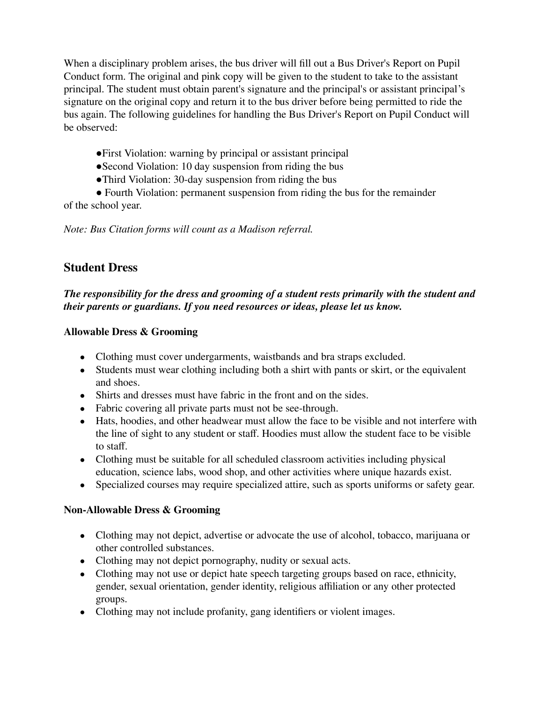When a disciplinary problem arises, the bus driver will fill out a Bus Driver's Report on Pupil Conduct form. The original and pink copy will be given to the student to take to the assistant principal. The student must obtain parent's signature and the principal's or assistant principal's signature on the original copy and return it to the bus driver before being permitted to ride the bus again. The following guidelines for handling the Bus Driver's Report on Pupil Conduct will be observed:

- ●First Violation: warning by principal or assistant principal
- Second Violation: 10 day suspension from riding the bus
- Third Violation: 30-day suspension from riding the bus
- Fourth Violation: permanent suspension from riding the bus for the remainder of the school year.

*Note: Bus Citation forms will count as a Madison referral.*

## **Student Dress**

*The responsibility for the dress and grooming of a student rests primarily with the student and their parents or guardians. If you need resources or ideas, please let us know.*

## **Allowable Dress & Grooming**

- Clothing must cover undergarments, waistbands and bra straps excluded.
- Students must wear clothing including both a shirt with pants or skirt, or the equivalent and shoes.
- Shirts and dresses must have fabric in the front and on the sides.
- Fabric covering all private parts must not be see-through.
- Hats, hoodies, and other headwear must allow the face to be visible and not interfere with the line of sight to any student or staff. Hoodies must allow the student face to be visible to staff.
- Clothing must be suitable for all scheduled classroom activities including physical education, science labs, wood shop, and other activities where unique hazards exist.
- Specialized courses may require specialized attire, such as sports uniforms or safety gear.

## **Non-Allowable Dress & Grooming**

- Clothing may not depict, advertise or advocate the use of alcohol, tobacco, marijuana or other controlled substances.
- Clothing may not depict pornography, nudity or sexual acts.
- Clothing may not use or depict hate speech targeting groups based on race, ethnicity, gender, sexual orientation, gender identity, religious affiliation or any other protected groups.
- Clothing may not include profanity, gang identifiers or violent images.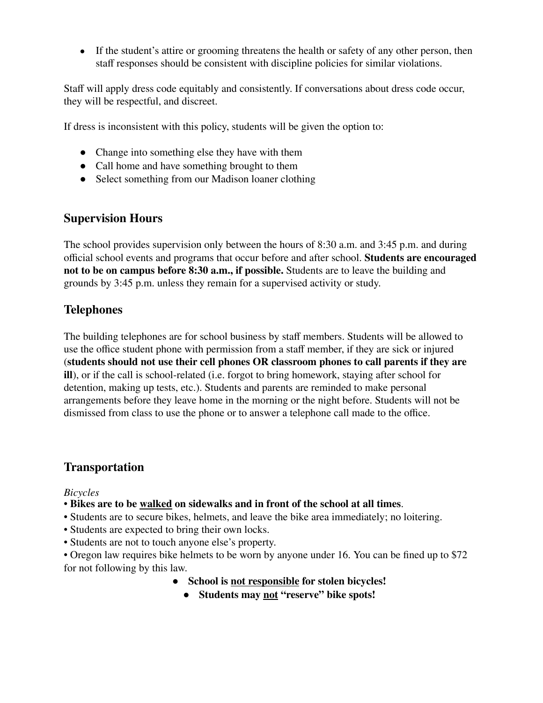• If the student's attire or grooming threatens the health or safety of any other person, then staff responses should be consistent with discipline policies for similar violations.

Staff will apply dress code equitably and consistently. If conversations about dress code occur, they will be respectful, and discreet.

If dress is inconsistent with this policy, students will be given the option to:

- Change into something else they have with them
- Call home and have something brought to them
- Select something from our Madison loaner clothing

## **Supervision Hours**

The school provides supervision only between the hours of 8:30 a.m. and 3:45 p.m. and during official school events and programs that occur before and after school. **Students are encouraged not to be on campus before 8:30 a.m., if possible.** Students are to leave the building and grounds by 3:45 p.m. unless they remain for a supervised activity or study.

## **Telephones**

The building telephones are for school business by staff members. Students will be allowed to use the office student phone with permission from a staff member, if they are sick or injured (**students should not use their cell phones OR classroom phones to call parents if they are ill**), or if the call is school-related (i.e. forgot to bring homework, staying after school for detention, making up tests, etc.). Students and parents are reminded to make personal arrangements before they leave home in the morning or the night before. Students will not be dismissed from class to use the phone or to answer a telephone call made to the office.

## **Transportation**

*Bicycles*

- **Bikes are to be walked on sidewalks and in front of the school at all times**.
- Students are to secure bikes, helmets, and leave the bike area immediately; no loitering.
- Students are expected to bring their own locks.
- Students are not to touch anyone else's property.

• Oregon law requires bike helmets to be worn by anyone under 16. You can be fined up to \$72 for not following by this law.

- **● School is not responsible for stolen bicycles!**
	- **● Students may not "reserve" bike spots!**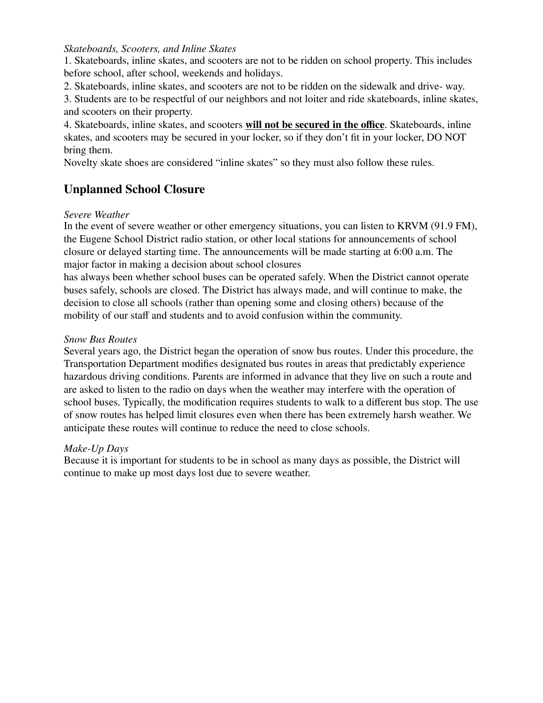#### *Skateboards, Scooters, and Inline Skates*

1. Skateboards, inline skates, and scooters are not to be ridden on school property. This includes before school, after school, weekends and holidays.

2. Skateboards, inline skates, and scooters are not to be ridden on the sidewalk and drive- way.

3. Students are to be respectful of our neighbors and not loiter and ride skateboards, inline skates, and scooters on their property.

4. Skateboards, inline skates, and scooters **will not be secured in the office**. Skateboards, inline skates, and scooters may be secured in your locker, so if they don't fit in your locker, DO NOT bring them.

Novelty skate shoes are considered "inline skates" so they must also follow these rules.

## **Unplanned School Closure**

#### *Severe Weather*

In the event of severe weather or other emergency situations, you can listen to KRVM (91.9 FM), the Eugene School District radio station, or other local stations for announcements of school closure or delayed starting time. The announcements will be made starting at 6:00 a.m. The major factor in making a decision about school closures

has always been whether school buses can be operated safely. When the District cannot operate buses safely, schools are closed. The District has always made, and will continue to make, the decision to close all schools (rather than opening some and closing others) because of the mobility of our staff and students and to avoid confusion within the community.

#### *Snow Bus Routes*

Several years ago, the District began the operation of snow bus routes. Under this procedure, the Transportation Department modifies designated bus routes in areas that predictably experience hazardous driving conditions. Parents are informed in advance that they live on such a route and are asked to listen to the radio on days when the weather may interfere with the operation of school buses. Typically, the modification requires students to walk to a different bus stop. The use of snow routes has helped limit closures even when there has been extremely harsh weather. We anticipate these routes will continue to reduce the need to close schools.

#### *Make-Up Days*

Because it is important for students to be in school as many days as possible, the District will continue to make up most days lost due to severe weather.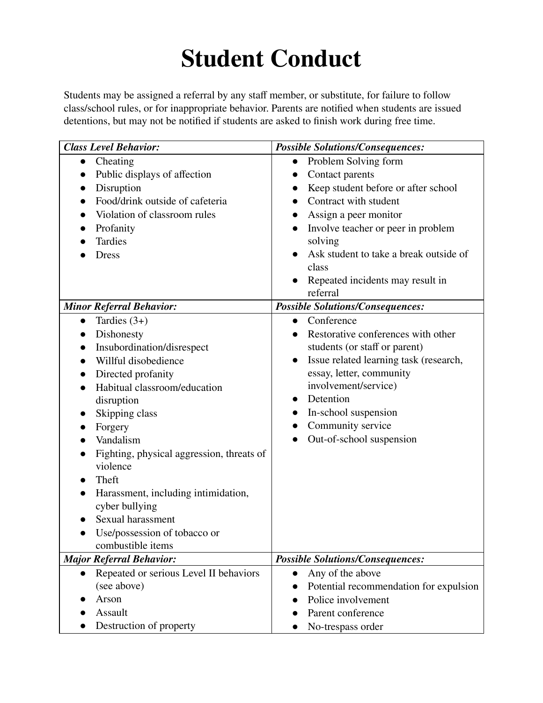# **Student Conduct**

Students may be assigned a referral by any staff member, or substitute, for failure to follow class/school rules, or for inappropriate behavior. Parents are notified when students are issued detentions, but may not be notified if students are asked to finish work during free time.

| <b>Class Level Behavior:</b>                        | <b>Possible Solutions/Consequences:</b>             |
|-----------------------------------------------------|-----------------------------------------------------|
| Cheating<br>$\bullet$                               | Problem Solving form<br>$\bullet$                   |
| Public displays of affection<br>$\bullet$           | Contact parents<br>$\bullet$                        |
| Disruption                                          | Keep student before or after school<br>$\bullet$    |
| Food/drink outside of cafeteria                     | Contract with student                               |
| Violation of classroom rules                        | Assign a peer monitor<br>$\bullet$                  |
| Profanity                                           | Involve teacher or peer in problem                  |
| <b>Tardies</b>                                      | solving                                             |
| <b>Dress</b>                                        | Ask student to take a break outside of              |
|                                                     | class                                               |
|                                                     | Repeated incidents may result in                    |
|                                                     | referral                                            |
| <b>Minor Referral Behavior:</b>                     | <b>Possible Solutions/Consequences:</b>             |
| Tardies $(3+)$<br>$\bullet$                         | Conference<br>$\bullet$                             |
| Dishonesty<br>$\bullet$                             | Restorative conferences with other                  |
| Insubordination/disrespect<br>$\bullet$             | students (or staff or parent)                       |
| Willful disobedience<br>●                           | Issue related learning task (research,<br>$\bullet$ |
| Directed profanity<br>$\bullet$                     | essay, letter, community                            |
| Habitual classroom/education<br>$\bullet$           | involvement/service)                                |
| disruption                                          | Detention                                           |
| Skipping class<br>$\bullet$                         | In-school suspension<br>$\bullet$                   |
| Forgery                                             | Community service                                   |
| Vandalism                                           | Out-of-school suspension<br>$\bullet$               |
| Fighting, physical aggression, threats of           |                                                     |
| violence                                            |                                                     |
| Theft                                               |                                                     |
| Harassment, including intimidation,<br>$\bullet$    |                                                     |
| cyber bullying                                      |                                                     |
| Sexual harassment                                   |                                                     |
| Use/possession of tobacco or                        |                                                     |
| combustible items                                   |                                                     |
| <b>Major Referral Behavior:</b>                     | <b>Possible Solutions/Consequences:</b>             |
| Repeated or serious Level II behaviors<br>$\bullet$ | Any of the above<br>$\bullet$                       |
| (see above)                                         | Potential recommendation for expulsion              |
| Arson                                               | Police involvement<br>$\bullet$                     |
| Assault                                             | Parent conference                                   |
| Destruction of property                             | No-trespass order                                   |